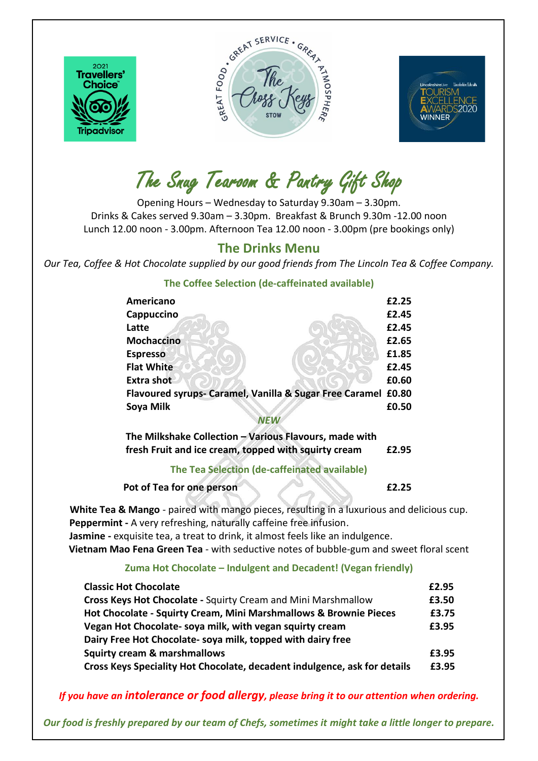

 $\overline{\phantom{a}}$ 





The Snug Tearoom & Pantry Gift Shop

Opening Hours – Wednesday to Saturday 9.30am – 3.30pm. Drinks & Cakes served 9.30am – 3.30pm. Breakfast & Brunch 9.30m -12.00 noon Lunch 12.00 noon - 3.00pm. Afternoon Tea 12.00 noon - 3.00pm (pre bookings only)

# **The Drinks Menu**

*Our Tea, Coffee & Hot Chocolate supplied by our good friends from The Lincoln Tea & Coffee Company.*

| Americano                                                     | £2.25 |
|---------------------------------------------------------------|-------|
| Cappuccino                                                    | £2.45 |
| Latte                                                         | £2.45 |
| <b>Mochaccino</b>                                             | £2.65 |
| <b>Espresso</b>                                               | £1.85 |
| <b>Flat White</b>                                             | £2.45 |
| <b>Extra shot</b>                                             | £0.60 |
| Flavoured syrups- Caramel, Vanilla & Sugar Free Caramel £0.80 |       |
| Soya Milk                                                     | £0.50 |
|                                                               |       |

## **The Coffee Selection (de-caffeinated available)**

| The Milkshake Collection - Various Flavours, made with |       |
|--------------------------------------------------------|-------|
| fresh Fruit and ice cream, topped with squirty cream   | £2.95 |

# **The Tea Selection (de-caffeinated available)**

**Pot of Tea for one person E2.25** 

**White Tea & Mango** - paired with mango pieces, resulting in a luxurious and delicious cup.  **Peppermint -** A very refreshing, naturally caffeine free infusion.  **Jasmine -** exquisite tea, a treat to drink, it almost feels like an indulgence. **Vietnam Mao Fena Green Tea** - with seductive notes of bubble-gum and sweet floral scent

### **Zuma Hot Chocolate – Indulgent and Decadent! (Vegan friendly)**

| <b>Classic Hot Chocolate</b>                                              | £2.95 |
|---------------------------------------------------------------------------|-------|
| Cross Keys Hot Chocolate - Squirty Cream and Mini Marshmallow             | £3.50 |
| Hot Chocolate - Squirty Cream, Mini Marshmallows & Brownie Pieces         | £3.75 |
| Vegan Hot Chocolate-soya milk, with vegan squirty cream                   | £3.95 |
| Dairy Free Hot Chocolate-soya milk, topped with dairy free                |       |
| <b>Squirty cream &amp; marshmallows</b>                                   | £3.95 |
| Cross Keys Speciality Hot Chocolate, decadent indulgence, ask for details | £3.95 |

# *If you have an intolerance or food allergy, please bring it to our attention when ordering.*

*Our food is freshly prepared by our team of Chefs, sometimes it might take a little longer to prepare.*